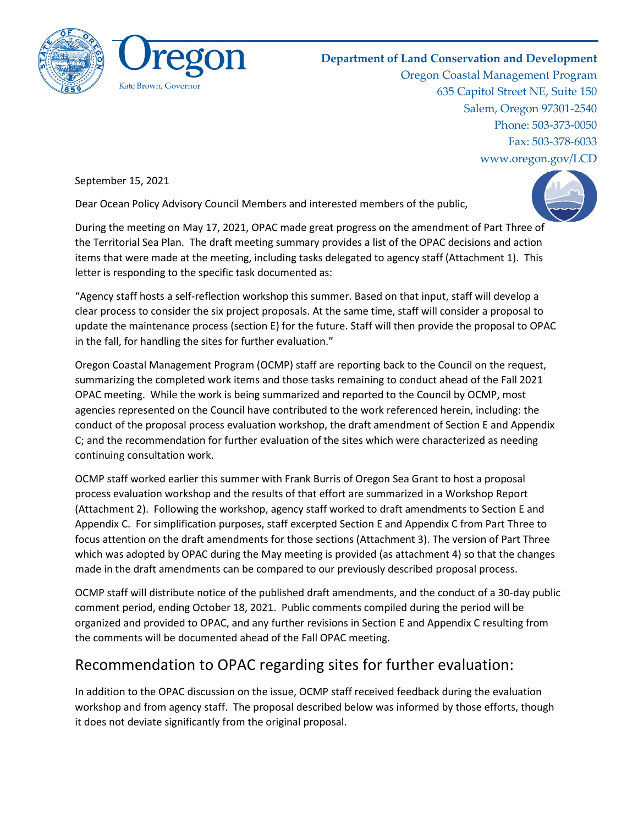

## **Department of Land Conservation and Development**

Oregon Coastal Management Program 635 Capitol Street NE, Suite 150 Salem, Oregon 97301-2540 Phone: 503-373-0050 Fax: 503-378-6033 www.oregon.gov/LCD

September 15, 2021

Dear Ocean Policy Advisory Council Members and interested members of the public,



During the meeting on May 17, 2021, OPAC made great progress on the amendment of Part Three of the Territorial Sea Plan. The draft meeting summary provides a list of the OPAC decisions and action items that were made at the meeting, including tasks delegated to agency staff (Attachment 1). This letter is responding to the specific task documented as:

"Agency staff hosts a self-reflection workshop this summer. Based on that input, staff will develop a clear process to consider the six project proposals. At the same time, staff will consider a proposal to update the maintenance process (section E) for the future. Staff will then provide the proposal to OPAC in the fall, for handling the sites for further evaluation."

Oregon Coastal Management Program (OCMP) staff are reporting back to the Council on the request, summarizing the completed work items and those tasks remaining to conduct ahead of the Fall 2021 OPAC meeting. While the work is being summarized and reported to the Council by OCMP, most agencies represented on the Council have contributed to the work referenced herein, including: the conduct of the proposal process evaluation workshop, the draft amendment of Section E and Appendix C; and the recommendation for further evaluation of the sites which were characterized as needing continuing consultation work.

OCMP staff worked earlier this summer with Frank Burris of Oregon Sea Grant to host a proposal process evaluation workshop and the results of that effort are summarized in a Workshop Report (Attachment 2). Following the workshop, agency staff worked to draft amendments to Section E and Appendix C. For simplification purposes, staff excerpted Section E and Appendix C from Part Three to focus attention on the draft amendments for those sections (Attachment 3). The version of Part Three which was adopted by OPAC during the May meeting is provided (as attachment 4) so that the changes made in the draft amendments can be compared to our previously described proposal process.

OCMP staff will distribute notice of the published draft amendments, and the conduct of a 30-day public comment period, ending October 18, 2021. Public comments compiled during the period will be organized and provided to OPAC, and any further revisions in Section E and Appendix C resulting from the comments will be documented ahead of the Fall OPAC meeting.

## Recommendation to OPAC regarding sites for further evaluation:

In addition to the OPAC discussion on the issue, OCMP staff received feedback during the evaluation workshop and from agency staff. The proposal described below was informed by those efforts, though it does not deviate significantly from the original proposal.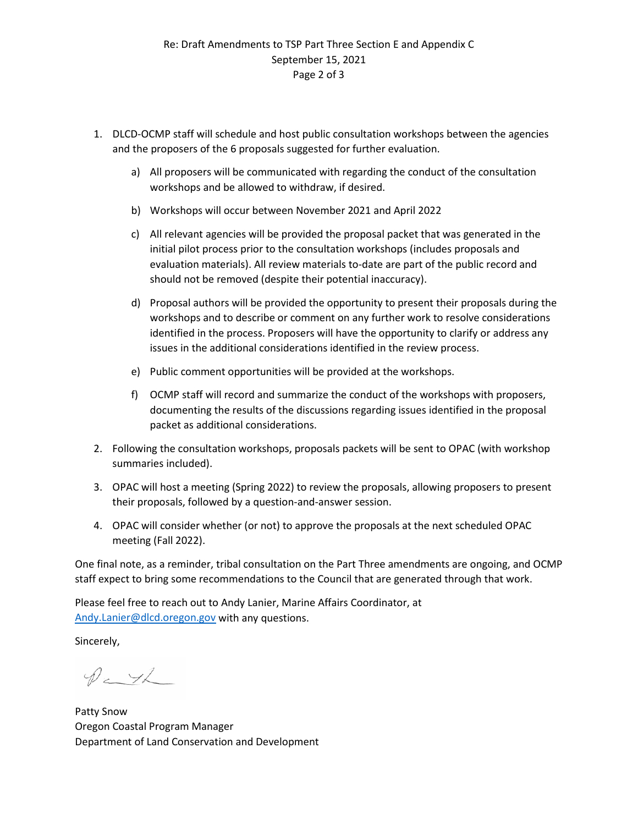- 1. DLCD-OCMP staff will schedule and host public consultation workshops between the agencies and the proposers of the 6 proposals suggested for further evaluation.
	- a) All proposers will be communicated with regarding the conduct of the consultation workshops and be allowed to withdraw, if desired.
	- b) Workshops will occur between November 2021 and April 2022
	- c) All relevant agencies will be provided the proposal packet that was generated in the initial pilot process prior to the consultation workshops (includes proposals and evaluation materials). All review materials to-date are part of the public record and should not be removed (despite their potential inaccuracy).
	- d) Proposal authors will be provided the opportunity to present their proposals during the workshops and to describe or comment on any further work to resolve considerations identified in the process. Proposers will have the opportunity to clarify or address any issues in the additional considerations identified in the review process.
	- e) Public comment opportunities will be provided at the workshops.
	- f) OCMP staff will record and summarize the conduct of the workshops with proposers, documenting the results of the discussions regarding issues identified in the proposal packet as additional considerations.
- 2. Following the consultation workshops, proposals packets will be sent to OPAC (with workshop summaries included).
- 3. OPAC will host a meeting (Spring 2022) to review the proposals, allowing proposers to present their proposals, followed by a question-and-answer session.
- 4. OPAC will consider whether (or not) to approve the proposals at the next scheduled OPAC meeting (Fall 2022).

One final note, as a reminder, tribal consultation on the Part Three amendments are ongoing, and OCMP staff expect to bring some recommendations to the Council that are generated through that work.

Please feel free to reach out to Andy Lanier, Marine Affairs Coordinator, at [Andy.Lanier@dlcd.oregon.gov](mailto:Andy.Lanier@dlcd.oregon.gov) with any questions.

Sincerely,

 $P$  = 12

Patty Snow Oregon Coastal Program Manager Department of Land Conservation and Development